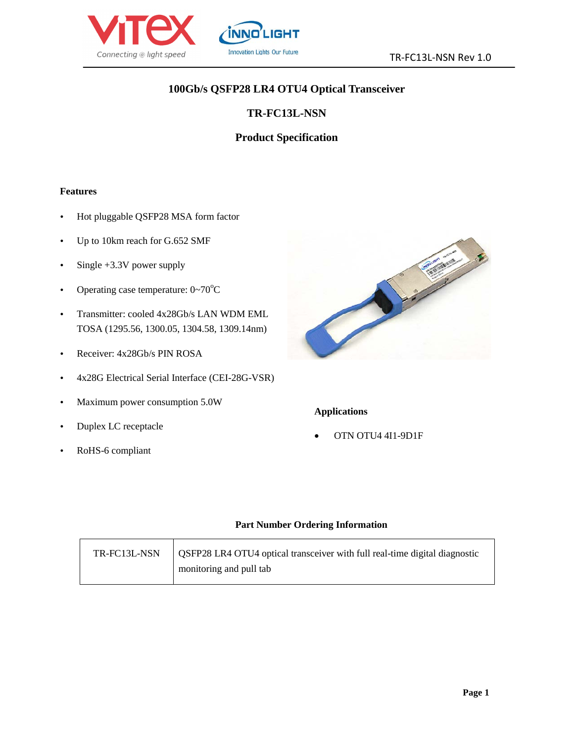

# **100Gb/s QSFP28 LR4 OTU4 Optical Transceiver**

# **TR-FC13L-NSN**

# **Product Specification**

#### **Features**

- Hot pluggable QSFP28 MSA form factor
- Up to 10km reach for G.652 SMF
- $\cdot$  Single +3.3V power supply
- Operating case temperature:  $0 \sim 70^{\circ}$ C
- Transmitter: cooled 4x28Gb/s LAN WDM EML TOSA (1295.56, 1300.05, 1304.58, 1309.14nm)
- Receiver: 4x28Gb/s PIN ROSA
- 4x28G Electrical Serial Interface (CEI-28G-VSR)
- Maximum power consumption 5.0W
- Duplex LC receptacle
- RoHS-6 compliant



### **Applications**

• OTN OTU4 4I1-9D1F

#### **Part Number Ordering Information**

| TR-FC13L-NSN | OSFP28 LR4 OTU4 optical transceiver with full real-time digital diagnostic |
|--------------|----------------------------------------------------------------------------|
|              | monitoring and pull tab                                                    |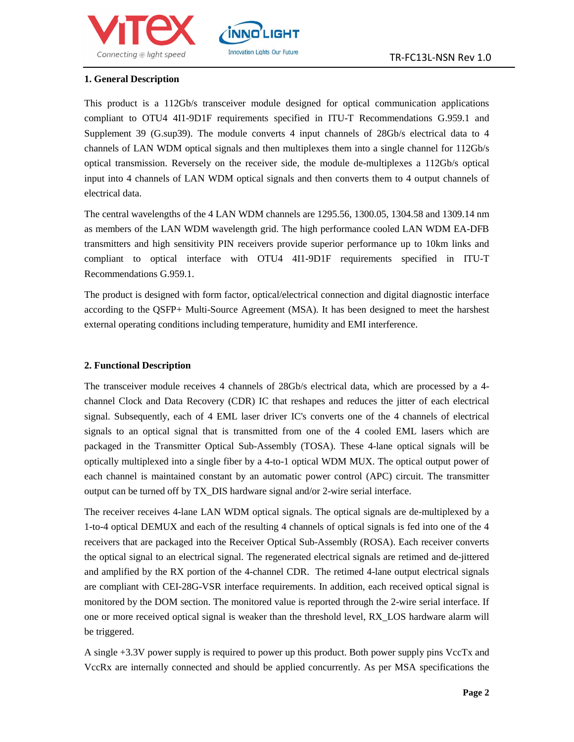



#### **1. General Description**

This product is a 112Gb/s transceiver module designed for optical communication applications compliant to OTU4 4I1-9D1F requirements specified in ITU-T Recommendations G.959.1 and Supplement 39 (G.sup39). The module converts 4 input channels of 28Gb/s electrical data to 4 channels of LAN WDM optical signals and then multiplexes them into a single channel for 112Gb/s optical transmission. Reversely on the receiver side, the module de-multiplexes a 112Gb/s optical input into 4 channels of LAN WDM optical signals and then converts them to 4 output channels of electrical data.

**İNNO** 

**Innovation Lights Our Future** 

The central wavelengths of the 4 LAN WDM channels are 1295.56, 1300.05, 1304.58 and 1309.14 nm as members of the LAN WDM wavelength grid. The high performance cooled LAN WDM EA-DFB transmitters and high sensitivity PIN receivers provide superior performance up to 10km links and compliant to optical interface with OTU4 4I1-9D1F requirements specified in ITU-T Recommendations G.959.1.

The product is designed with form factor, optical/electrical connection and digital diagnostic interface according to the QSFP+ Multi-Source Agreement (MSA). It has been designed to meet the harshest external operating conditions including temperature, humidity and EMI interference.

#### **2. Functional Description**

The transceiver module receives 4 channels of 28Gb/s electrical data, which are processed by a 4 channel Clock and Data Recovery (CDR) IC that reshapes and reduces the jitter of each electrical signal. Subsequently, each of 4 EML laser driver IC's converts one of the 4 channels of electrical signals to an optical signal that is transmitted from one of the 4 cooled EML lasers which are packaged in the Transmitter Optical Sub-Assembly (TOSA). These 4-lane optical signals will be optically multiplexed into a single fiber by a 4-to-1 optical WDM MUX. The optical output power of each channel is maintained constant by an automatic power control (APC) circuit. The transmitter output can be turned off by TX\_DIS hardware signal and/or 2-wire serial interface.

The receiver receives 4-lane LAN WDM optical signals. The optical signals are de-multiplexed by a 1-to-4 optical DEMUX and each of the resulting 4 channels of optical signals is fed into one of the 4 receivers that are packaged into the Receiver Optical Sub-Assembly (ROSA). Each receiver converts the optical signal to an electrical signal. The regenerated electrical signals are retimed and de-jittered and amplified by the RX portion of the 4-channel CDR. The retimed 4-lane output electrical signals are compliant with CEI-28G-VSR interface requirements. In addition, each received optical signal is monitored by the DOM section. The monitored value is reported through the 2-wire serial interface. If one or more received optical signal is weaker than the threshold level, RX\_LOS hardware alarm will be triggered.

A single +3.3V power supply is required to power up this product. Both power supply pins VccTx and VccRx are internally connected and should be applied concurrently. As per MSA specifications the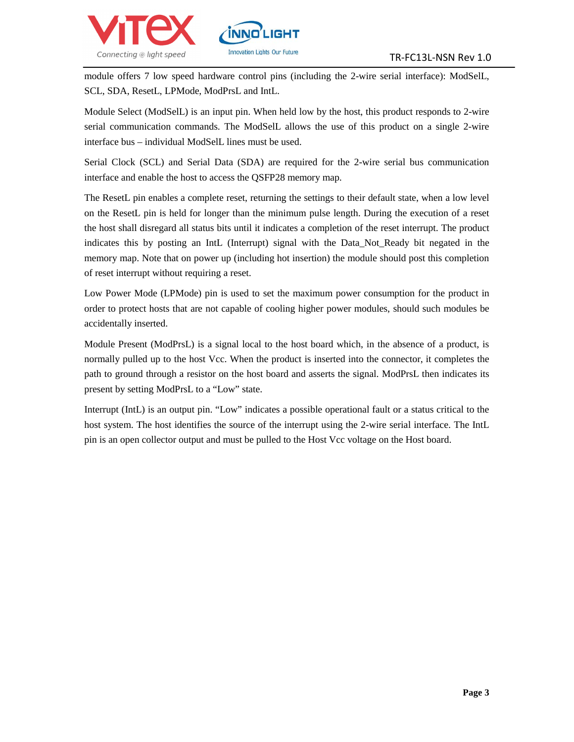

module offers 7 low speed hardware control pins (including the 2-wire serial interface): ModSelL, SCL, SDA, ResetL, LPMode, ModPrsL and IntL.

INNC

**Innovation Lights Our Future** 

Module Select (ModSelL) is an input pin. When held low by the host, this product responds to 2-wire serial communication commands. The ModSelL allows the use of this product on a single 2-wire interface bus – individual ModSelL lines must be used.

Serial Clock (SCL) and Serial Data (SDA) are required for the 2-wire serial bus communication interface and enable the host to access the QSFP28 memory map.

The ResetL pin enables a complete reset, returning the settings to their default state, when a low level on the ResetL pin is held for longer than the minimum pulse length. During the execution of a reset the host shall disregard all status bits until it indicates a completion of the reset interrupt. The product indicates this by posting an IntL (Interrupt) signal with the Data\_Not\_Ready bit negated in the memory map. Note that on power up (including hot insertion) the module should post this completion of reset interrupt without requiring a reset.

Low Power Mode (LPMode) pin is used to set the maximum power consumption for the product in order to protect hosts that are not capable of cooling higher power modules, should such modules be accidentally inserted.

Module Present (ModPrsL) is a signal local to the host board which, in the absence of a product, is normally pulled up to the host Vcc. When the product is inserted into the connector, it completes the path to ground through a resistor on the host board and asserts the signal. ModPrsL then indicates its present by setting ModPrsL to a "Low" state.

Interrupt (IntL) is an output pin. "Low" indicates a possible operational fault or a status critical to the host system. The host identifies the source of the interrupt using the 2-wire serial interface. The IntL pin is an open collector output and must be pulled to the Host Vcc voltage on the Host board.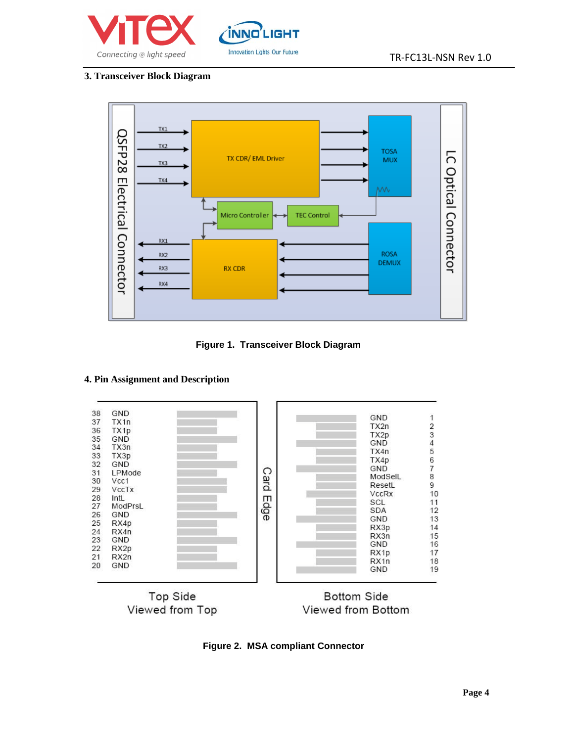



#### **3. Transceiver Block Diagram**



**Figure 1. Transceiver Block Diagram**

### **4. Pin Assignment and Description**





Viewed from Bottom

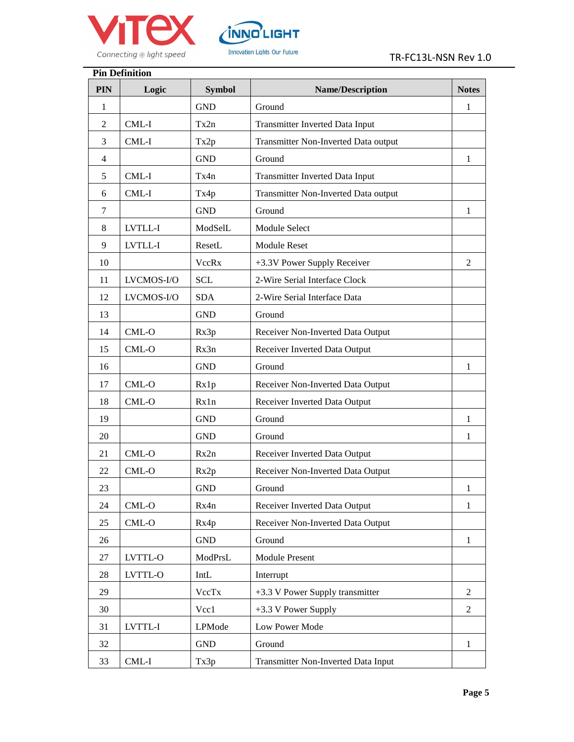



| <b>Pin Definition</b> |            |               |                                        |                |  |  |  |  |
|-----------------------|------------|---------------|----------------------------------------|----------------|--|--|--|--|
| <b>PIN</b>            | Logic      | <b>Symbol</b> | <b>Name/Description</b>                | <b>Notes</b>   |  |  |  |  |
| 1                     |            | <b>GND</b>    | Ground                                 | 1              |  |  |  |  |
| $\overline{2}$        | CML-I      | Tx2n          | <b>Transmitter Inverted Data Input</b> |                |  |  |  |  |
| 3                     | CML-I      | Tx2p          | Transmitter Non-Inverted Data output   |                |  |  |  |  |
| 4                     |            | <b>GND</b>    | Ground                                 | 1              |  |  |  |  |
| 5                     | CML-I      | Tx4n          | <b>Transmitter Inverted Data Input</b> |                |  |  |  |  |
| 6                     | CML-I      | Tx4p          | Transmitter Non-Inverted Data output   |                |  |  |  |  |
| 7                     |            | <b>GND</b>    | Ground                                 | 1              |  |  |  |  |
| 8                     | LVTLL-I    | ModSelL       | Module Select                          |                |  |  |  |  |
| 9                     | LVTLL-I    | ResetL        | Module Reset                           |                |  |  |  |  |
| 10                    |            | VccRx         | +3.3V Power Supply Receiver            | 2              |  |  |  |  |
| 11                    | LVCMOS-I/O | <b>SCL</b>    | 2-Wire Serial Interface Clock          |                |  |  |  |  |
| 12                    | LVCMOS-I/O | <b>SDA</b>    | 2-Wire Serial Interface Data           |                |  |  |  |  |
| 13                    |            | <b>GND</b>    | Ground                                 |                |  |  |  |  |
| 14                    | $CML-O$    | Rx3p          | Receiver Non-Inverted Data Output      |                |  |  |  |  |
| 15                    | CML-O      | Rx3n          | Receiver Inverted Data Output          |                |  |  |  |  |
| 16                    |            | <b>GND</b>    | Ground                                 | 1              |  |  |  |  |
| 17                    | $CML-O$    | Rx1p          | Receiver Non-Inverted Data Output      |                |  |  |  |  |
| 18                    | CML-O      | Rx1n          | Receiver Inverted Data Output          |                |  |  |  |  |
| 19                    |            | <b>GND</b>    | Ground                                 | 1              |  |  |  |  |
| 20                    |            | <b>GND</b>    | Ground                                 | 1              |  |  |  |  |
| 21                    | CML-O      | Rx2n          | Receiver Inverted Data Output          |                |  |  |  |  |
| 22                    | $CML-O$    | Rx2p          | Receiver Non-Inverted Data Output      |                |  |  |  |  |
| 23                    |            | <b>GND</b>    | Ground                                 | 1              |  |  |  |  |
| 24                    | $CML-O$    | Rx4n          | Receiver Inverted Data Output          | 1              |  |  |  |  |
| 25                    | $CML-O$    | Rx4p          | Receiver Non-Inverted Data Output      |                |  |  |  |  |
| 26                    |            | <b>GND</b>    | Ground                                 | 1              |  |  |  |  |
| 27                    | LVTTL-O    | ModPrsL       | <b>Module Present</b>                  |                |  |  |  |  |
| 28                    | LVTTL-O    | IntL          | Interrupt                              |                |  |  |  |  |
| 29                    |            | VccTx         | +3.3 V Power Supply transmitter        | $\overline{2}$ |  |  |  |  |
| 30                    |            | Vcc1          | +3.3 V Power Supply                    | $\overline{2}$ |  |  |  |  |
| 31                    | LVTTL-I    | LPMode        | Low Power Mode                         |                |  |  |  |  |
| 32                    |            | <b>GND</b>    | Ground                                 | $\mathbf{1}$   |  |  |  |  |
| 33                    | CML-I      | Tx3p          | Transmitter Non-Inverted Data Input    |                |  |  |  |  |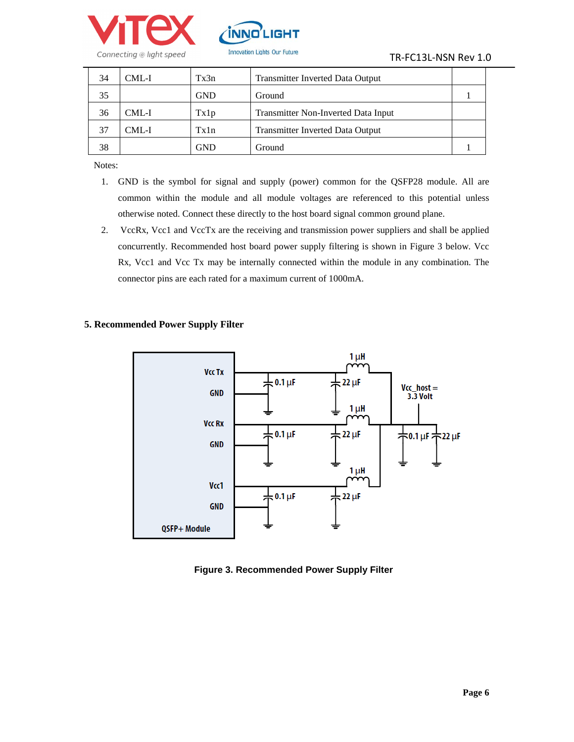



| 34 | CML-I | Tx3n | <b>Transmitter Inverted Data Output</b> |  |
|----|-------|------|-----------------------------------------|--|
| 35 |       | GND  | Ground                                  |  |
| 36 | CML-I | Tx1p | Transmitter Non-Inverted Data Input     |  |
| 37 | CML-I | Tx1n | <b>Transmitter Inverted Data Output</b> |  |
| 38 |       | GND  | Ground                                  |  |

Notes:

- 1. GND is the symbol for signal and supply (power) common for the QSFP28 module. All are common within the module and all module voltages are referenced to this potential unless otherwise noted. Connect these directly to the host board signal common ground plane.
- 2. VccRx, Vcc1 and VccTx are the receiving and transmission power suppliers and shall be applied concurrently. Recommended host board power supply filtering is shown in Figure 3 below. Vcc Rx, Vcc1 and Vcc Tx may be internally connected within the module in any combination. The connector pins are each rated for a maximum current of 1000mA.





**Figure 3. Recommended Power Supply Filter**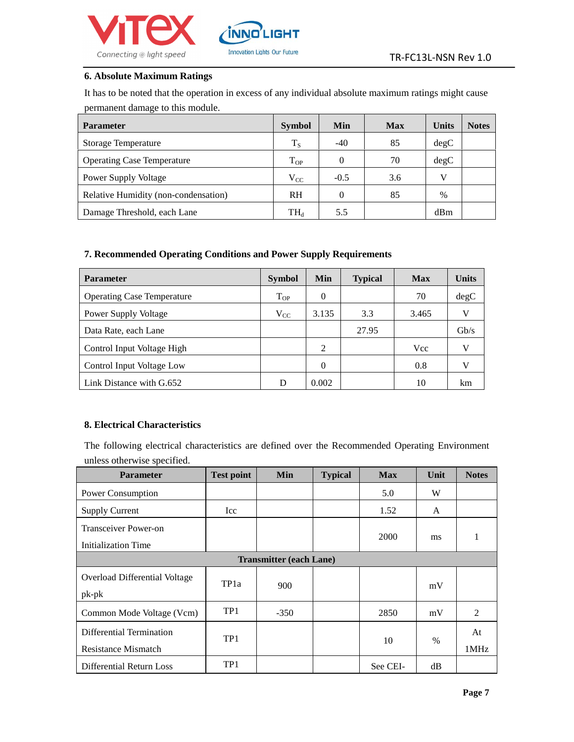



#### **6. Absolute Maximum Ratings**

It has to be noted that the operation in excess of any individual absolute maximum ratings might cause permanent damage to this module.

| <b>Parameter</b>                     | <b>Symbol</b>              | <b>Min</b> | <b>Max</b> | <b>Units</b> | <b>Notes</b> |
|--------------------------------------|----------------------------|------------|------------|--------------|--------------|
| <b>Storage Temperature</b>           | $T_S$                      | $-40$      | 85         | degC         |              |
| <b>Operating Case Temperature</b>    | $T_{OP}$                   | $\theta$   | 70         | degC         |              |
| <b>Power Supply Voltage</b>          | $V_{CC}$                   | $-0.5$     | 3.6        | v            |              |
| Relative Humidity (non-condensation) | <b>RH</b>                  | 0          | 85         | $\%$         |              |
| Damage Threshold, each Lane          | $\mathrm{TH}_{\mathrm{d}}$ | 5.5        |            | dBm          |              |

#### **7. Recommended Operating Conditions and Power Supply Requirements**

| <b>Parameter</b>                  | <b>Symbol</b> | <b>Min</b> | <b>Typical</b> | <b>Max</b> | <b>Units</b> |
|-----------------------------------|---------------|------------|----------------|------------|--------------|
| <b>Operating Case Temperature</b> | $T_{OP}$      | 0          |                | 70         | degC         |
| <b>Power Supply Voltage</b>       | $V_{CC}$      | 3.135      | 3.3            | 3.465      |              |
| Data Rate, each Lane              |               |            | 27.95          |            | Gb/s         |
| Control Input Voltage High        |               | 2          |                | <b>Vcc</b> |              |
| Control Input Voltage Low         |               | 0          |                | 0.8        |              |
| Link Distance with G.652          | D             | 0.002      |                | 10         | km           |

## **8. Electrical Characteristics**

The following electrical characteristics are defined over the Recommended Operating Environment unless otherwise specified.

| <b>Parameter</b>                                | <b>Test point</b> | Min    | <b>Typical</b> | <b>Max</b>  | Unit | <b>Notes</b> |  |  |
|-------------------------------------------------|-------------------|--------|----------------|-------------|------|--------------|--|--|
| Power Consumption                               |                   |        |                | 5.0         | W    |              |  |  |
| <b>Supply Current</b>                           | Icc               |        |                | 1.52        | A    |              |  |  |
| Transceiver Power-on<br>Initialization Time     |                   |        |                | <b>2000</b> | ms   | 1            |  |  |
| <b>Transmitter (each Lane)</b>                  |                   |        |                |             |      |              |  |  |
| Overload Differential Voltage<br>$pk-pk$        | TP <sub>1</sub> a | 900    |                |             | mV   |              |  |  |
| Common Mode Voltage (Vcm)                       | TP <sub>1</sub>   | $-350$ |                | 2850        | mV   | 2            |  |  |
| Differential Termination<br>Resistance Mismatch | TP1               |        |                | 10          | $\%$ | At<br>1MHz   |  |  |
| <b>Differential Return Loss</b>                 | TP1               |        |                | See CEI-    | dB   |              |  |  |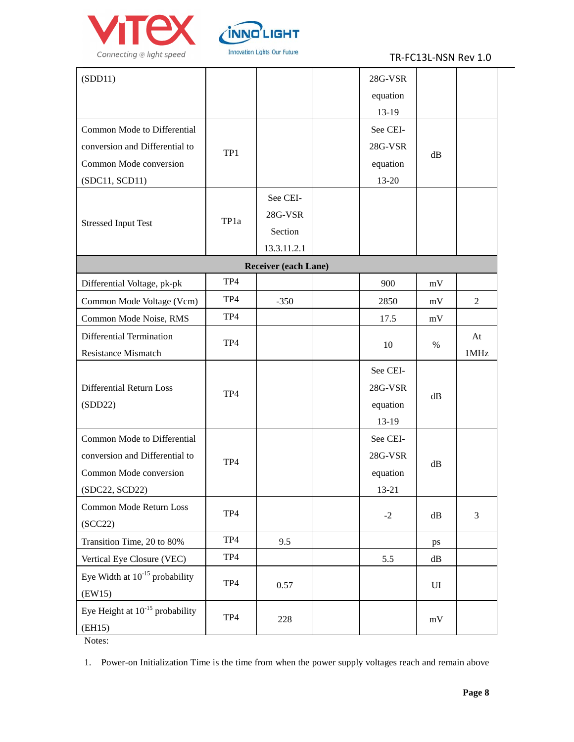



### TR-FC13L-NSN Rev 1.0

| (SDD11)                              |      |                      | 28G-VSR  |               |                |  |
|--------------------------------------|------|----------------------|----------|---------------|----------------|--|
|                                      |      |                      | equation |               |                |  |
|                                      |      |                      | 13-19    |               |                |  |
| Common Mode to Differential          |      |                      | See CEI- |               |                |  |
| conversion and Differential to       | TP1  |                      | 28G-VSR  |               |                |  |
| Common Mode conversion               |      |                      | equation | dB            |                |  |
| (SDC11, SCD11)                       |      |                      | 13-20    |               |                |  |
|                                      |      | See CEI-             |          |               |                |  |
|                                      | TP1a | 28G-VSR              |          |               |                |  |
| <b>Stressed Input Test</b>           |      | Section              |          |               |                |  |
|                                      |      | 13.3.11.2.1          |          |               |                |  |
|                                      |      | Receiver (each Lane) |          |               |                |  |
| Differential Voltage, pk-pk          | TP4  |                      | 900      | mV            |                |  |
| Common Mode Voltage (Vcm)            | TP4  | $-350$               | 2850     | mV            | $\overline{c}$ |  |
| Common Mode Noise, RMS               | TP4  |                      | 17.5     | mV            |                |  |
| Differential Termination             | TP4  |                      |          |               | At             |  |
| <b>Resistance Mismatch</b>           |      |                      | 10       | $\%$          | 1MHz           |  |
|                                      |      |                      | See CEI- |               |                |  |
| Differential Return Loss             |      | TP4                  |          | 28G-VSR       |                |  |
| (SDD22)                              |      |                      | equation | dB            |                |  |
|                                      |      |                      | 13-19    |               |                |  |
| Common Mode to Differential          |      |                      | See CEI- |               |                |  |
| conversion and Differential to       | TP4  |                      | 28G-VSR  |               |                |  |
| Common Mode conversion               |      |                      | equation | dB            |                |  |
| (SDC22, SCD22)                       |      |                      | 13-21    |               |                |  |
| Common Mode Return Loss              | TP4  |                      |          |               |                |  |
| (SCC22)                              |      |                      | $-2$     | $\mathrm{dB}$ | $\mathfrak{Z}$ |  |
| Transition Time, 20 to 80%           | TP4  | 9.5                  |          | ps            |                |  |
| Vertical Eye Closure (VEC)           | TP4  |                      | 5.5      | $\mathrm{dB}$ |                |  |
| Eye Width at $10^{-15}$ probability  | TP4  |                      |          |               |                |  |
| (EW15)                               |      | 0.57                 |          | UI            |                |  |
| Eye Height at $10^{-15}$ probability | TP4  | 228                  |          | mV            |                |  |
| (EH15)                               |      |                      |          |               |                |  |

Notes:

1. Power-on Initialization Time is the time from when the power supply voltages reach and remain above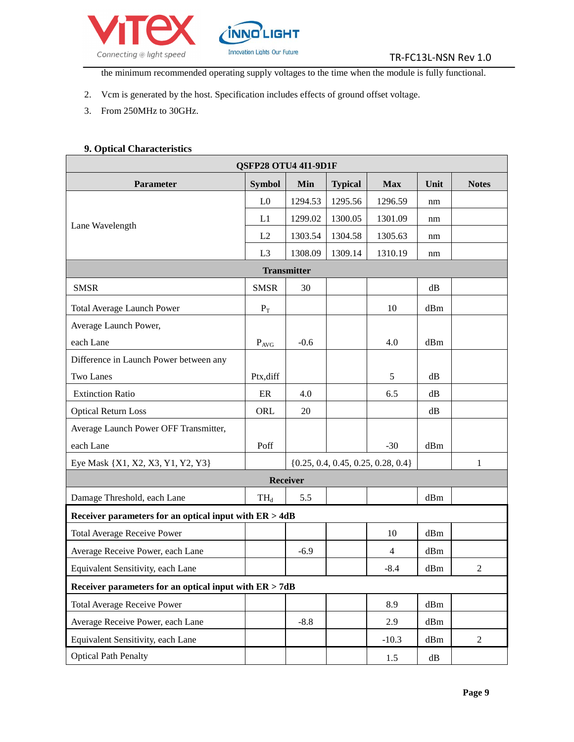

the minimum recommended operating supply voltages to the time when the module is fully functional.

- 2. Vcm is generated by the host. Specification includes effects of ground offset voltage.
- 3. From 250MHz to 30GHz.

### **9. Optical Characteristics**

| QSFP28 OTU4 4I1-9D1F                                   |                       |                                        |                |                |               |                |  |  |
|--------------------------------------------------------|-----------------------|----------------------------------------|----------------|----------------|---------------|----------------|--|--|
| <b>Parameter</b>                                       | <b>Symbol</b>         | Min                                    | <b>Typical</b> | <b>Max</b>     | Unit          | <b>Notes</b>   |  |  |
|                                                        | L <sub>0</sub>        | 1294.53                                | 1295.56        | 1296.59        | nm            |                |  |  |
|                                                        | L1                    | 1299.02                                | 1300.05        | 1301.09        | nm            |                |  |  |
| Lane Wavelength                                        | L2                    | 1303.54                                | 1304.58        | 1305.63        | nm            |                |  |  |
|                                                        | L <sub>3</sub>        | 1308.09                                | 1309.14        | 1310.19        | nm            |                |  |  |
| <b>Transmitter</b>                                     |                       |                                        |                |                |               |                |  |  |
| <b>SMSR</b>                                            | <b>SMSR</b>           | 30                                     |                |                | dB            |                |  |  |
| <b>Total Average Launch Power</b>                      | $\mathbf{P}_\text{T}$ |                                        |                | 10             | dBm           |                |  |  |
| Average Launch Power,                                  |                       |                                        |                |                |               |                |  |  |
| each Lane                                              | $P_{AVG}$             | $-0.6$                                 |                | 4.0            | dBm           |                |  |  |
| Difference in Launch Power between any                 |                       |                                        |                |                |               |                |  |  |
| <b>Two Lanes</b>                                       | Ptx, diff             |                                        |                | 5              | dB            |                |  |  |
| <b>Extinction Ratio</b>                                | ER                    | 4.0                                    |                | 6.5            | dB            |                |  |  |
| <b>Optical Return Loss</b>                             | ORL                   | 20                                     |                |                | dB            |                |  |  |
| Average Launch Power OFF Transmitter,                  |                       |                                        |                |                |               |                |  |  |
| each Lane                                              | Poff                  |                                        |                | $-30$          | dBm           |                |  |  |
| Eye Mask {X1, X2, X3, Y1, Y2, Y3}                      |                       | $\{0.25, 0.4, 0.45, 0.25, 0.28, 0.4\}$ |                | $\mathbf{1}$   |               |                |  |  |
|                                                        |                       | Receiver                               |                |                |               |                |  |  |
| Damage Threshold, each Lane                            | $TH_d$                | 5.5                                    |                |                | dBm           |                |  |  |
| Receiver parameters for an optical input with ER > 4dB |                       |                                        |                |                |               |                |  |  |
| <b>Total Average Receive Power</b>                     |                       |                                        |                | 10             | dBm           |                |  |  |
| Average Receive Power, each Lane                       |                       | $-6.9$                                 |                | $\overline{4}$ | dBm           |                |  |  |
| Equivalent Sensitivity, each Lane                      |                       |                                        |                | $-8.4$         | dBm           | $\overline{2}$ |  |  |
| Receiver parameters for an optical input with ER > 7dB |                       |                                        |                |                |               |                |  |  |
| <b>Total Average Receive Power</b>                     |                       |                                        |                | 8.9            | dBm           |                |  |  |
| Average Receive Power, each Lane                       |                       | $-8.8$                                 |                | 2.9            | dBm           |                |  |  |
| Equivalent Sensitivity, each Lane                      |                       |                                        |                | $-10.3$        | dBm           | $\overline{2}$ |  |  |
| <b>Optical Path Penalty</b>                            |                       |                                        |                | 1.5            | $\mathrm{dB}$ |                |  |  |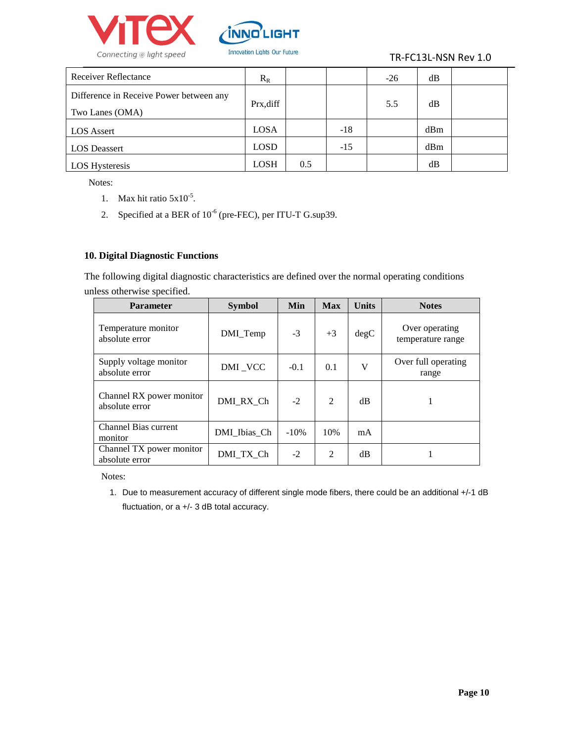



| Receiver Reflectance                                       | $R_R$       |     |       | $-26$ | dB  |  |
|------------------------------------------------------------|-------------|-----|-------|-------|-----|--|
| Difference in Receive Power between any<br>Two Lanes (OMA) | Prx,diff    |     |       | 5.5   | dB  |  |
| <b>LOS</b> Assert                                          | LOSA        |     | $-18$ |       | dBm |  |
| <b>LOS</b> Deassert                                        | <b>LOSD</b> |     | $-15$ |       | dBm |  |
| LOS Hysteresis                                             | <b>LOSH</b> | 0.5 |       |       | dB  |  |

Notes:

- 1. Max hit ratio  $5x10^{-5}$ .
- 2. Specified at a BER of  $10^{-6}$  (pre-FEC), per ITU-T G.sup39.

### **10. Digital Diagnostic Functions**

The following digital diagnostic characteristics are defined over the normal operating conditions unless otherwise specified.

| <b>Parameter</b>                           | <b>Symbol</b> | Min     | <b>Max</b>     | <b>Units</b> | <b>Notes</b>                        |
|--------------------------------------------|---------------|---------|----------------|--------------|-------------------------------------|
| Temperature monitor<br>absolute error      | DMI_Temp      | $-3$    | $+3$           | degC         | Over operating<br>temperature range |
| Supply voltage monitor<br>absolute error   | DMI_VCC       | $-0.1$  | 0.1            | V            | Over full operating<br>range        |
| Channel RX power monitor<br>absolute error | DMI RX Ch     | $-2$    | $\overline{2}$ | dB           |                                     |
| <b>Channel Bias current</b><br>monitor     | DMI Ibias Ch  | $-10\%$ | 10%            | mA           |                                     |
| Channel TX power monitor<br>absolute error | DMI TX Ch     | $-2$    | 2              | dВ           |                                     |

Notes:

1. Due to measurement accuracy of different single mode fibers, there could be an additional +/-1 dB fluctuation, or a +/- 3 dB total accuracy.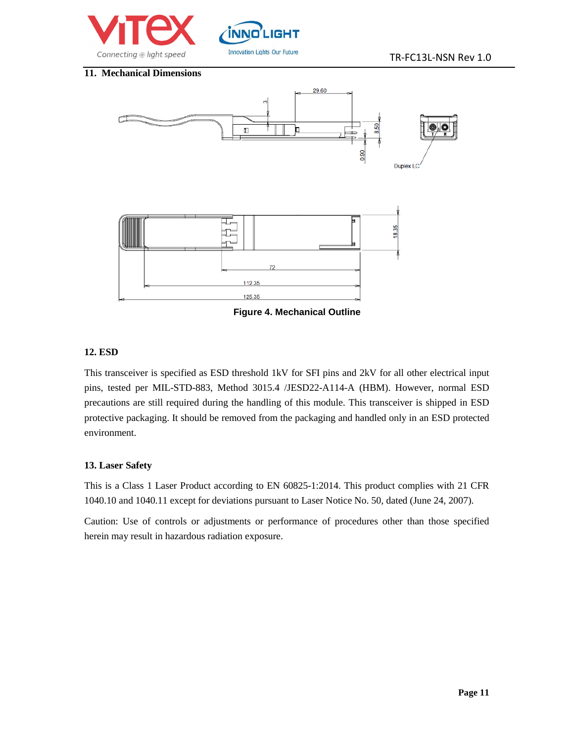



#### **11. Mechanical Dimensions**



 **Figure 4. Mechanical Outline**

#### **12. ESD**

This transceiver is specified as ESD threshold 1kV for SFI pins and 2kV for all other electrical input pins, tested per MIL-STD-883, Method 3015.4 /JESD22-A114-A (HBM). However, normal ESD precautions are still required during the handling of this module. This transceiver is shipped in ESD protective packaging. It should be removed from the packaging and handled only in an ESD protected environment.

### **13. Laser Safety**

This is a Class 1 Laser Product according to EN 60825-1:2014. This product complies with 21 CFR 1040.10 and 1040.11 except for deviations pursuant to Laser Notice No. 50, dated (June 24, 2007).

Caution: Use of controls or adjustments or performance of procedures other than those specified herein may result in hazardous radiation exposure.